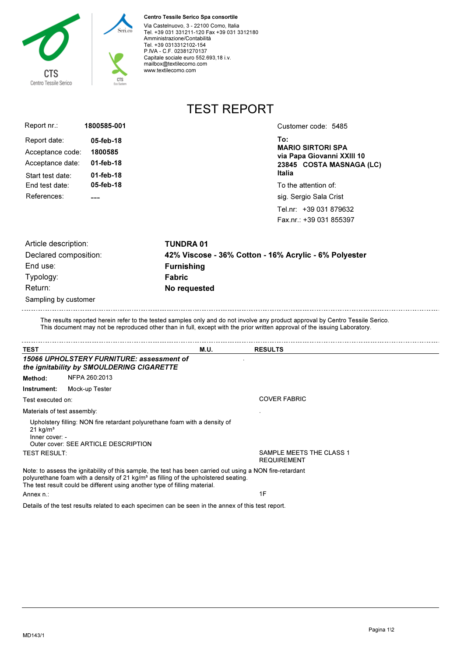

## Centro Tessile Serico Spa consortile

Via Castelnuovo, 3 - 22100 Como, Italia Tel. +39 031 331211-120 Fax +39 031 3312180 Amministrazione/Contabilità Tel. +39 0313312102-154 P.IVA - C.F. 02381270137 Capitale sociale euro 552.693,18 i.v. mailbox@textilecomo.com www.textilecomo.com

TEST REPORT

Fax.nr.: +39 031 855397

| Report nr.:      | 1800585-001 | Customer code: 5485                                    |
|------------------|-------------|--------------------------------------------------------|
| Report date:     | 05-feb-18   | To:                                                    |
| Acceptance code: | 1800585     | <b>MARIO SIRTORI SPA</b><br>via Papa Giovanni XXIII 10 |
| Acceptance date: | 01-feb-18   | 23845 COSTA MASNAGA (LC)                               |
| Start test date: | 01-feb-18   | Italia                                                 |
| End test date:   | 05-feb-18   | To the attention of:                                   |
| References:      |             | sig. Sergio Sala Crist                                 |
|                  |             | Tel.nr: +39 031 879632                                 |
|                  |             |                                                        |

| Article description:  | <b>TUNDRA 01</b>                                      |
|-----------------------|-------------------------------------------------------|
| Declared composition: | 42% Viscose - 36% Cotton - 16% Acrylic - 6% Polyester |
| End use:              | <b>Furnishing</b>                                     |
| Typology:             | <b>Fabric</b>                                         |
| Return:               | No requested                                          |
| Sampling by customer  |                                                       |

The results reported herein refer to the tested samples only and do not involve any product approval by Centro Tessile Serico. This document may not be reproduced other than in full, except with the prior written approval of the issuing Laboratory.

| <b>TEST</b>                              |                                                                                                                                                                                                                                                                                            | M.U. | <b>RESULTS</b>                                 |  |
|------------------------------------------|--------------------------------------------------------------------------------------------------------------------------------------------------------------------------------------------------------------------------------------------------------------------------------------------|------|------------------------------------------------|--|
|                                          | 15066 UPHOLSTERY FURNITURE: assessment of<br>the ignitability by SMOULDERING CIGARETTE                                                                                                                                                                                                     |      |                                                |  |
| Method:                                  | NFPA 260:2013                                                                                                                                                                                                                                                                              |      |                                                |  |
| Instrument:                              | Mock-up Tester                                                                                                                                                                                                                                                                             |      |                                                |  |
| Test executed on:                        |                                                                                                                                                                                                                                                                                            |      | <b>COVER FABRIC</b>                            |  |
| Materials of test assembly:              |                                                                                                                                                                                                                                                                                            |      |                                                |  |
| $21$ kg/m <sup>3</sup><br>Inner cover: - | Upholstery filling: NON fire retardant polyurethane foam with a density of<br>Outer cover: SEE ARTICLE DESCRIPTION                                                                                                                                                                         |      |                                                |  |
| <b>TEST RESULT:</b>                      |                                                                                                                                                                                                                                                                                            |      | SAMPLE MEETS THE CLASS 1<br><b>REQUIREMENT</b> |  |
|                                          | Note: to assess the ignitability of this sample, the test has been carried out using a NON fire-retardant<br>polyurethane foam with a density of 21 kg/m <sup>3</sup> as filling of the upholstered seating.<br>The test result could be different using another type of filling material. |      |                                                |  |
| Annex n∴                                 |                                                                                                                                                                                                                                                                                            |      | 1F                                             |  |

Details of the test results related to each specimen can be seen in the annex of this test report.